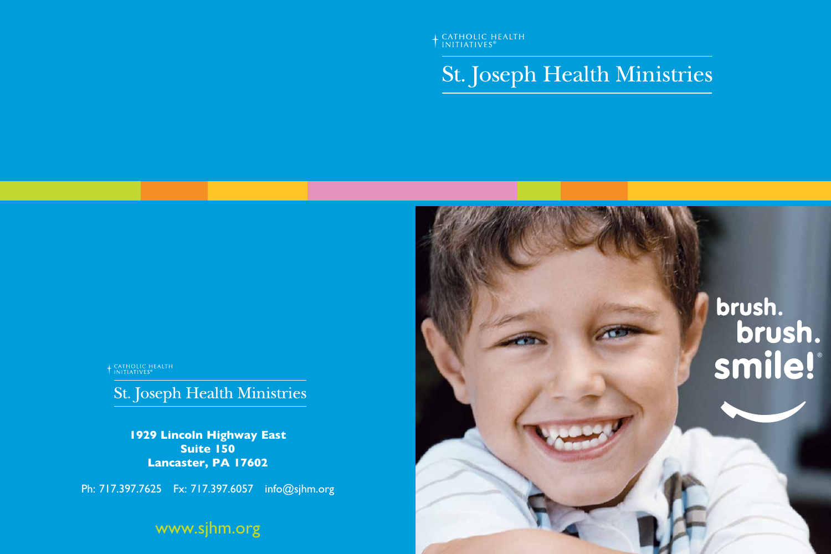+ CATHOLIC HEALTH

# St. Joseph Health Ministries

+ CATHOLIC HEALTH

St. Joseph Health Ministries

**1929 Lincoln Highway East Suite 150 Lancaster, PA 17602**

Ph: 717.397.7625 Fx: 717.397.6057 info@sjhm.org

www.sjhm.org



# brush.<br>brush.<br>Smile!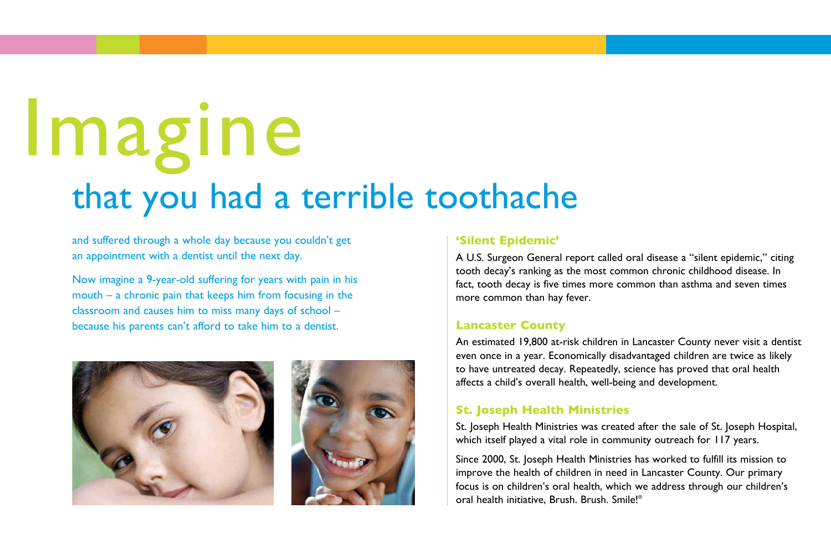and suffered through a whole day because you couldn't get an appointment with a dentist until the next day.

Now imagine a 9-year-old suffering for years with pain in his mouth – a chronic pain that keeps him from focusing in the classroom and causes him to miss many days of school – because his parents can't afford to take him to a dentist.



# **'Silent Epidemic'**

St. Joseph Health Ministries was created after the sale of St. Joseph Hospital, which itself played a vital role in community outreach for 117 years.

A U.S. Surgeon General report called oral disease a "silent epidemic," citing tooth decay's ranking as the most common chronic childhood disease. In fact, tooth decay is five times more common than asthma and seven times more common than hay fever.

# **Lancaster County**

An estimated 19,800 at-risk children in Lancaster County never visit a dentist even once in a year. Economically disadvantaged children are twice as likely to have untreated decay. Repeatedly, science has proved that oral health affects a child's overall health, well-being and development.

# **St. Joseph Health Ministries**

Since 2000, St. Joseph Health Ministries has worked to fulfill its mission to improve the health of children in need in Lancaster County. Our primary focus is on children's oral health, which we address through our children's oral health initiative, Brush. Brush. Smile!®

# that you had a terrible toothache Imagine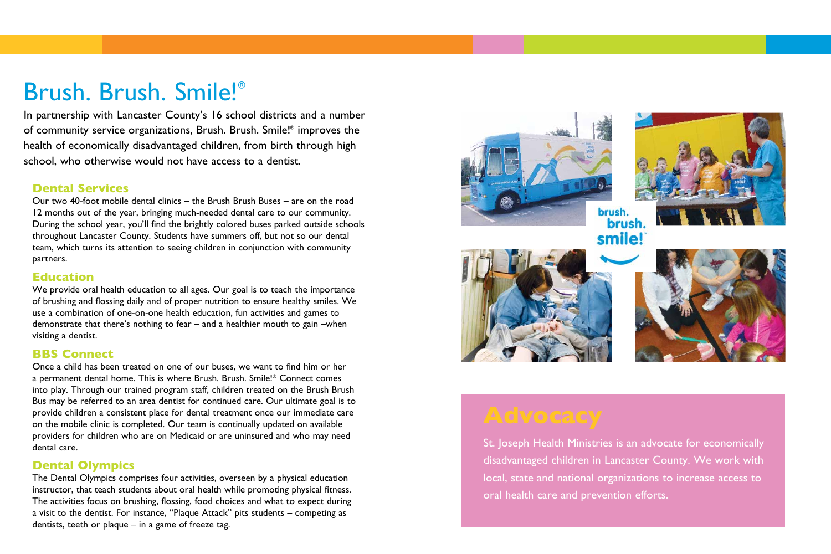# Brush. Brush. Smile!®

In partnership with Lancaster County's 16 school districts and a number of community service organizations, Brush. Brush. Smile!® improves the health of economically disadvantaged children, from birth through high school, who otherwise would not have access to a dentist.

# **Dental Services**

Our two 40-foot mobile dental clinics – the Brush Brush Buses – are on the road 12 months out of the year, bringing much-needed dental care to our community. During the school year, you'll find the brightly colored buses parked outside schools throughout Lancaster County. Students have summers off, but not so our dental team, which turns its attention to seeing children in conjunction with community partners.

We provide oral health education to all ages. Our goal is to teach the importance of brushing and flossing daily and of proper nutrition to ensure healthy smiles. We use a combination of one-on-one health education, fun activities and games to demonstrate that there's nothing to fear – and a healthier mouth to gain –when visiting a dentist.

## **Education**

# **BBS Connect**

Once a child has been treated on one of our buses, we want to find him or her a permanent dental home. This is where Brush. Brush. Smile!® Connect comes into play. Through our trained program staff, children treated on the Brush Brush Bus may be referred to an area dentist for continued care. Our ultimate goal is to provide children a consistent place for dental treatment once our immediate care on the mobile clinic is completed. Our team is continually updated on available providers for children who are on Medicaid or are uninsured and who may need dental care.

# **Dental Olympics**

The Dental Olympics comprises four activities, overseen by a physical education instructor, that teach students about oral health while promoting physical fitness. The activities focus on brushing, flossing, food choices and what to expect during a visit to the dentist. For instance, "Plaque Attack" pits students – competing as dentists, teeth or plaque – in a game of freeze tag.





St. Joseph Health Ministries is an advocate for economically disadvantaged children in Lancaster County. We work with local, state and national organizations to increase access to oral health care and prevention efforts.